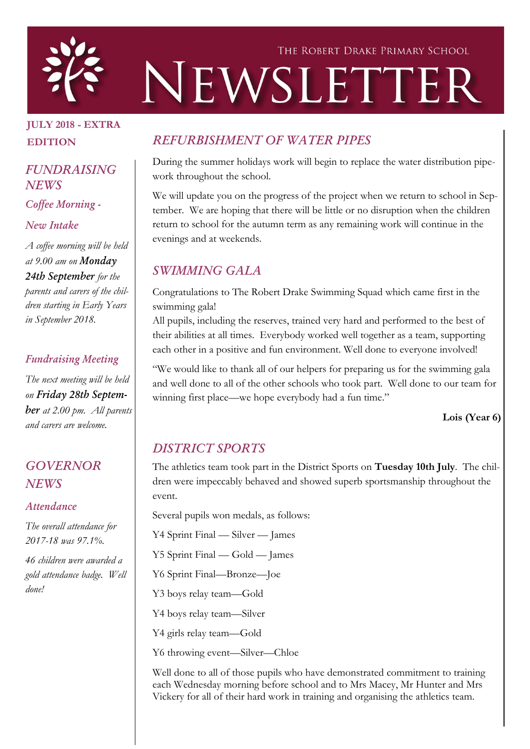

## JULY 2018 - EXTRA EDITION

### *FUNDRAISING NEWS*

*Coffee Morning -*

#### *New Intake*

*A coffee morning will be held at 9.00 am on Monday 24th September for the parents and carers of the children starting in Early Years in September 2018.*

#### *Fundraising Meeting*

*The next meeting will be held on Friday 28th September at 2.00 pm. All parents and carers are welcome.*

## *GOVERNOR NEWS*

#### *Attendance*

*The overall attendance for 2017-18 was 97.1%.* 

*46 children were awarded a gold attendance badge. Well done!*

# *REFURBISHMENT OF WATER PIPES*

During the summer holidays work will begin to replace the water distribution pipework throughout the school.

We will update you on the progress of the project when we return to school in September. We are hoping that there will be little or no disruption when the children return to school for the autumn term as any remaining work will continue in the evenings and at weekends.

# *SWIMMING GALA*

Congratulations to The Robert Drake Swimming Squad which came first in the swimming gala!

All pupils, including the reserves, trained very hard and performed to the best of their abilities at all times. Everybody worked well together as a team, supporting each other in a positive and fun environment. Well done to everyone involved!

"We would like to thank all of our helpers for preparing us for the swimming gala and well done to all of the other schools who took part. Well done to our team for winning first place—we hope everybody had a fun time."

Lois (Year 6)

## *DISTRICT SPORTS*

The athletics team took part in the District Sports on Tuesday 10th July. The children were impeccably behaved and showed superb sportsmanship throughout the event.

Several pupils won medals, as follows:

Y4 Sprint Final — Silver — James

Y5 Sprint Final — Gold — James

Y6 Sprint Final—Bronze—Joe

Y3 boys relay team—Gold

Y4 boys relay team—Silver

Y4 girls relay team—Gold

Y6 throwing event—Silver—Chloe

Well done to all of those pupils who have demonstrated commitment to training each Wednesday morning before school and to Mrs Macey, Mr Hunter and Mrs Vickery for all of their hard work in training and organising the athletics team.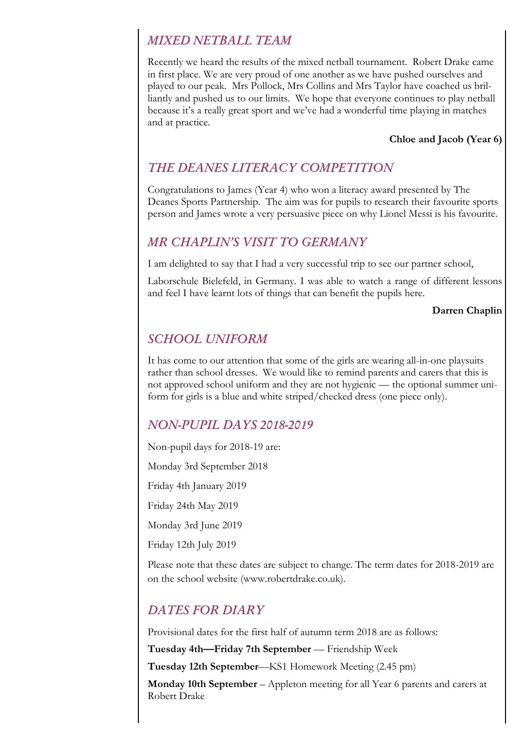## *MIXED NETBALL TEAM*

Recently we heard the results of the mixed netball tournament. Robert Drake came in first place. We are very proud of one another as we have pushed ourselves and played to our peak. Mrs Pollock, Mrs Collins and Mrs Taylor have coached us brilliantly and pushed us to our limits. We hope that everyone continues to play netball because it's a really great sport and we've had a wonderful time playing in matches and at practice.

#### Chloe and Jacob (Year 6)

## *THE DEANES LITERACY COMPETITION*

Congratulations to James (Year 4) who won a literacy award presented by The Deanes Sports Partnership. The aim was for pupils to research their favourite sports person and James wrote a very persuasive piece on why Lionel Messi is his favourite.

#### *MR CHAPLIN'S VISIT TO GERMANY*

I am delighted to say that I had a very successful trip to see our partner school,

Laborschule Bielefeld, in Germany. I was able to watch a range of different lessons and feel I have learnt lots of things that can benefit the pupils here.

#### Darren Chaplin

## *SCHOOL UNIFORM*

It has come to our attention that some of the girls are wearing all-in-one playsuits rather than school dresses. We would like to remind parents and carers that this is not approved school uniform and they are not hygienic — the optional summer uniform for girls is a blue and white striped/checked dress (one piece only).

### *NON-PUPIL DAYS 2018-2019*

Non-pupil days for 2018-19 are:

Monday 3rd September 2018

Friday 4th January 2019

Friday 24th May 2019

Monday 3rd June 2019

Friday 12th July 2019

Please note that these dates are subject to change. The term dates for 2018-2019 are on the school website (www.robertdrake.co.uk).

### *DATES FOR DIARY*

Provisional dates for the first half of autumn term 2018 are as follows:

Tuesday 4th—Friday 7th September — Friendship Week

Tuesday 12th September—KS1 Homework Meeting (2.45 pm)

Monday 10th September – Appleton meeting for all Year 6 parents and carers at Robert Drake